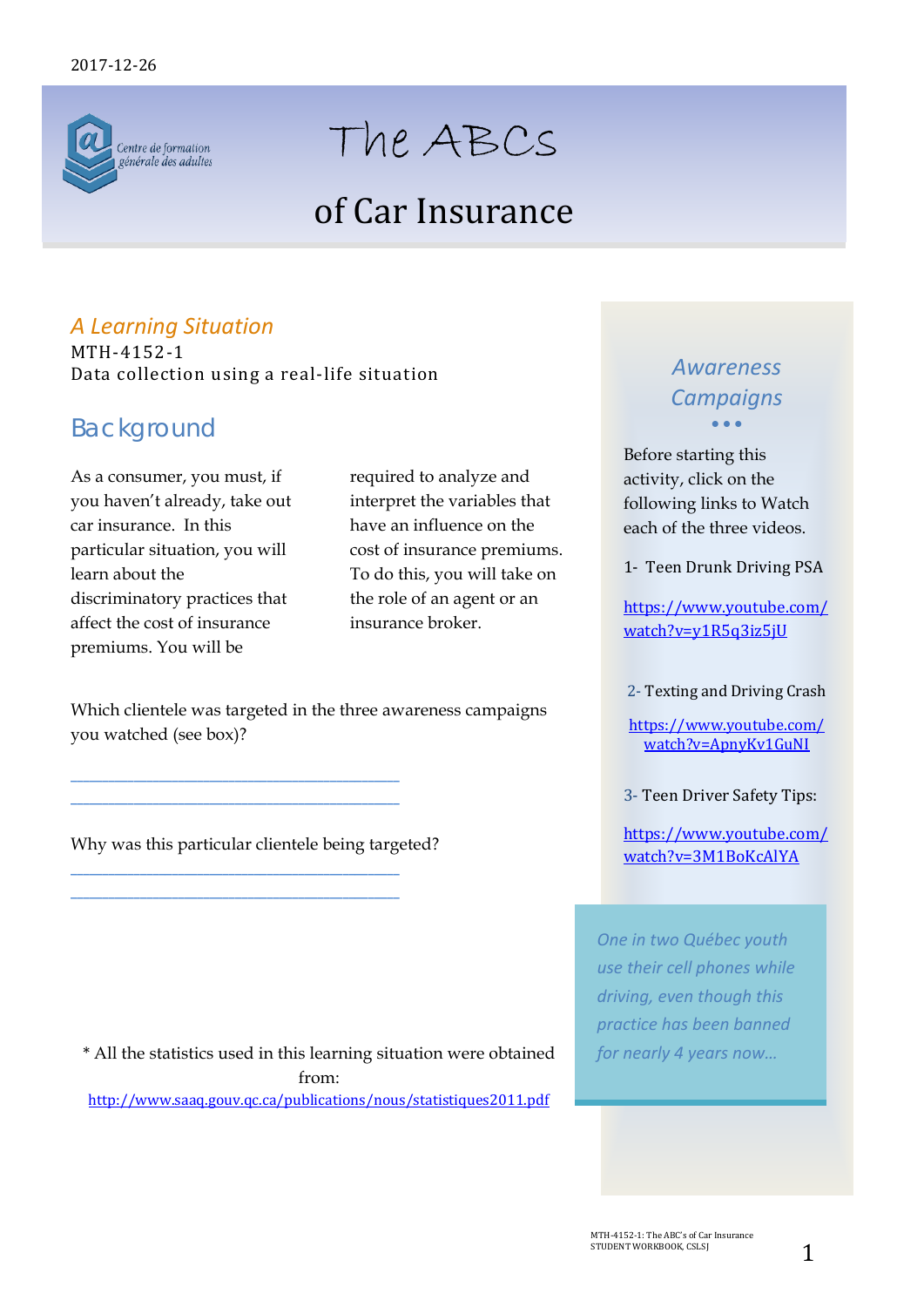

# The ABCs

## of Car Insurance

## *A Learning Situation*

MTH-4152-1 Data collection using a real-life situation

## *Background*

As a consumer, you must, if you haven't already, take out car insurance. In this particular situation, you will learn about the discriminatory practices that affect the cost of insurance premiums. You will be

required to analyze and interpret the variables that have an influence on the cost of insurance premiums. To do this, you will take on the role of an agent or an insurance broker.

Which clientele was targeted in the three awareness campaigns you watched (see box)?

Why was this particular clientele being targeted?

**\_\_\_\_\_\_\_\_\_\_\_\_\_\_\_\_\_\_\_\_\_\_\_\_\_\_\_\_\_\_\_\_\_\_\_\_\_\_\_\_\_\_\_\_\_\_\_\_\_\_\_\_ \_\_\_\_\_\_\_\_\_\_\_\_\_\_\_\_\_\_\_\_\_\_\_\_\_\_\_\_\_\_\_\_\_\_\_\_\_\_\_\_\_\_\_\_\_\_\_\_\_\_\_\_**

**\_\_\_\_\_\_\_\_\_\_\_\_\_\_\_\_\_\_\_\_\_\_\_\_\_\_\_\_\_\_\_\_\_\_\_\_\_\_\_\_\_\_\_\_\_\_\_\_\_\_\_\_ \_\_\_\_\_\_\_\_\_\_\_\_\_\_\_\_\_\_\_\_\_\_\_\_\_\_\_\_\_\_\_\_\_\_\_\_\_\_\_\_\_\_\_\_\_\_\_\_\_\_\_\_**

\* All the statistics used in this learning situation were obtained from: <http://www.saaq.gouv.qc.ca/publications/nous/statistiques2011.pdf>

### *Awareness Campaigns* • • •

Before starting this activity, click on the following links to Watch each of the three videos.

1- Teen Drunk Driving PSA

[https://www.youtube.com/](https://www.youtube.com/watch?v=y1R5q3iz5jU) [watch?v=y1R5q3iz5jU](https://www.youtube.com/watch?v=y1R5q3iz5jU)

2- Texting and Driving Crash

[https://www.youtube.com/](https://www.youtube.com/watch?v=ApnyKv1GuNI) [watch?v=ApnyKv1GuNI](https://www.youtube.com/watch?v=ApnyKv1GuNI)

3- Teen Driver Safety Tips:

[https://www.youtube.com/](https://www.youtube.com/watch?v=3M1BoKcAlYA) [watch?v=3M1BoKcAlYA](https://www.youtube.com/watch?v=3M1BoKcAlYA)

*One in two Québec youth use their cell phones while driving, even though this practice has been banned for nearly 4 years now…*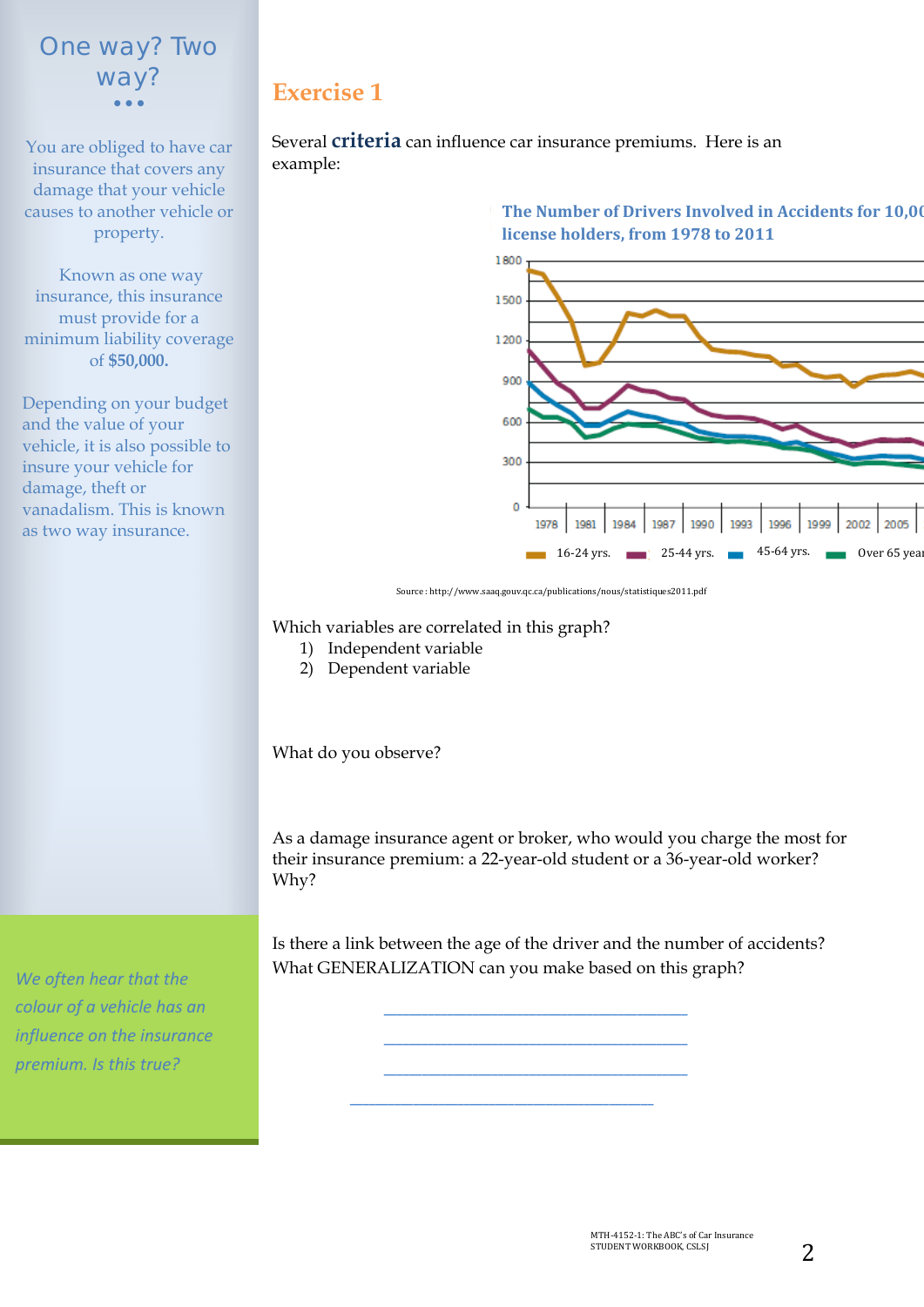## way? *One way? Two*  • • •

You are obliged to have car insurance that covers any damage that your vehicle causes to another vehicle or property.

Known as one way insurance, this insurance must provide for a minimum liability coverage of **\$50,000.** 

Depending on your budget and the value of your vehicle, it is also possible to insure your vehicle for damage, theft or vanadalism. This is known as two way insurance.

*We often hear that the colour of a vehicle has an influence on the insurance premium. Is this true?* 

## **Exercise 1**

Several **criteria** can influence car insurance premiums. Here is an example:



**The Number of Drivers Involved in Accidents for 10,00 license holders, from 1978 to 2011**

Source : http://www.saaq.gouv.qc.ca/publications/nous/statistiques2011.pdf

#### Which variables are correlated in this graph?

- 1) Independent variable
	- 2) Dependent variable

What do you observe?

As a damage insurance agent or broker, who would you charge the most for their insurance premium: a 22-year-old student or a 36-year-old worker? Why?

Is there a link between the age of the driver and the number of accidents? What GENERALIZATION can you make based on this graph?

> **\_\_\_\_\_\_\_\_\_\_\_\_\_\_\_\_\_\_\_\_\_\_\_\_\_\_\_\_\_\_\_\_\_\_\_\_\_\_\_\_\_\_\_\_\_\_\_\_ \_\_\_\_\_\_\_\_\_\_\_\_\_\_\_\_\_\_\_\_\_\_\_\_\_\_\_\_\_\_\_\_\_\_\_\_\_\_\_\_\_\_\_\_\_\_\_\_ \_\_\_\_\_\_\_\_\_\_\_\_\_\_\_\_\_\_\_\_\_\_\_\_\_\_\_\_\_\_\_\_\_\_\_\_\_\_\_\_\_\_\_\_\_\_\_\_**

**\_\_\_\_\_\_\_\_\_\_\_\_\_\_\_\_\_\_\_\_\_\_\_\_\_\_\_\_\_\_\_\_\_\_\_\_\_\_\_\_\_\_\_\_\_\_\_\_**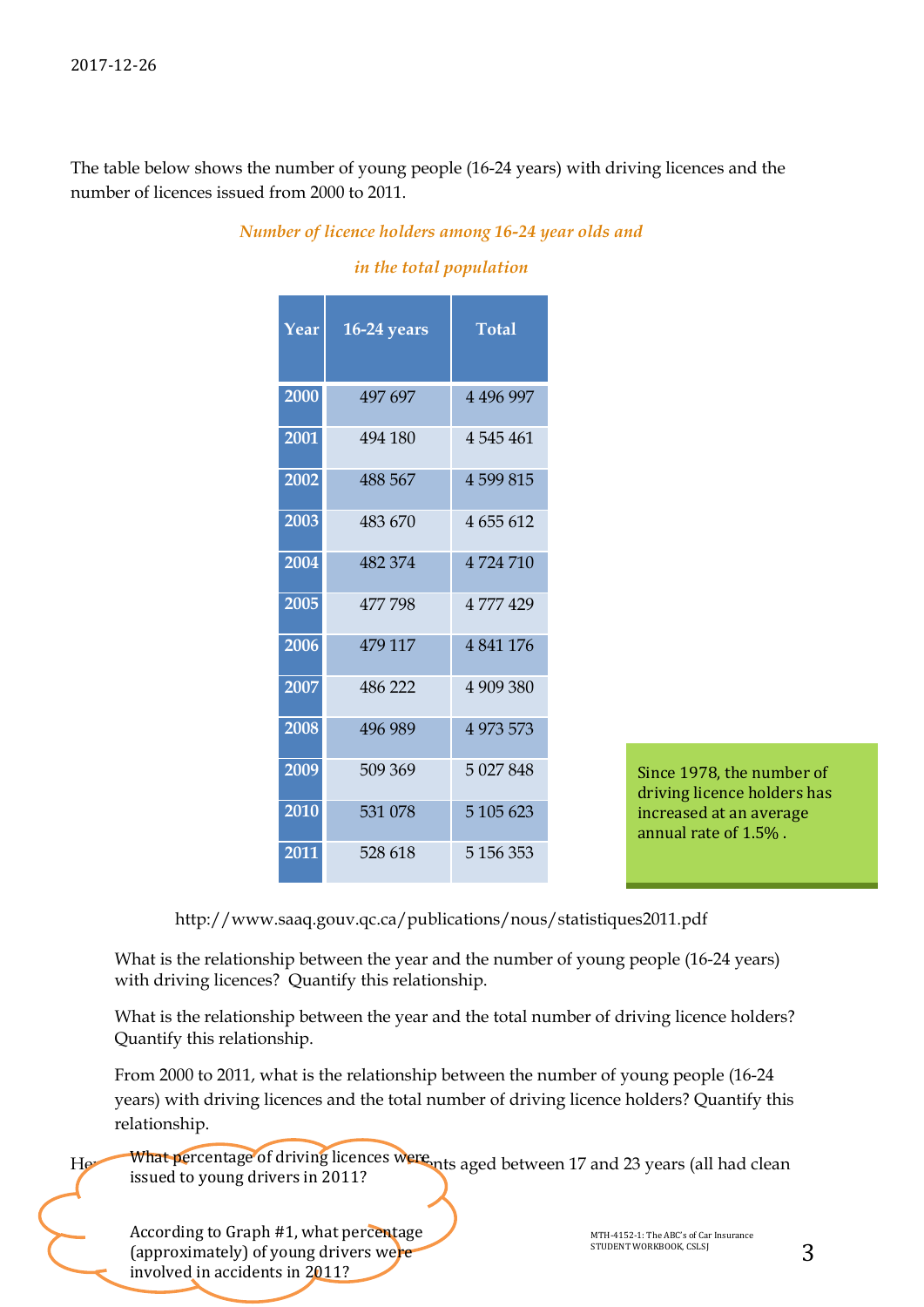The table below shows the number of young people (16-24 years) with driving licences and the number of licences issued from 2000 to 2011.

| Year | $16-24$ years | <b>Total</b>  |  |  |  |  |  |  |
|------|---------------|---------------|--|--|--|--|--|--|
| 2000 | 497 697       | 4 4 9 6 9 9 7 |  |  |  |  |  |  |
| 2001 | 494 180       | 4 5 4 5 4 6 1 |  |  |  |  |  |  |
| 2002 | 488 567       | 4599815       |  |  |  |  |  |  |
| 2003 | 483 670       | 4 655 612     |  |  |  |  |  |  |
| 2004 | 482 374       | 4724710       |  |  |  |  |  |  |
| 2005 | 477798        | 4777429       |  |  |  |  |  |  |
| 2006 | 479 117       | 4 841 176     |  |  |  |  |  |  |
| 2007 | 486 222       | 4 909 380     |  |  |  |  |  |  |
| 2008 | 496 989       | 4 973 573     |  |  |  |  |  |  |
| 2009 | 509 369       | 5 027 848     |  |  |  |  |  |  |
| 2010 | 531 078       | 5 105 623     |  |  |  |  |  |  |
| 2011 | 528 618       | 5 156 353     |  |  |  |  |  |  |

#### *Number of licence holders among 16-24 year olds and*

*in the total population*

Since 1978, the number of driving licence holders has increased at an average annual rate of 1.5% .

http://www.saaq.gouv.qc.ca/publications/nous/statistiques2011.pdf

What is the relationship between the year and the number of young people (16-24 years) with driving licences? Quantify this relationship.

What is the relationship between the year and the total number of driving licence holders? Quantify this relationship.

From 2000 to 2011, what is the relationship between the number of young people (16-24 years) with driving licences and the total number of driving licence holders? Quantify this relationship.

He What percentage of driving licences were nts aged between 17 and 23 years (all had clean issued to young drivers in 2011?

According to Graph #1, what percentage Manual According to Graph #1, what percentage (approximately) of young drivers were and the studient workBook, CSLS involved in accidents in 2011?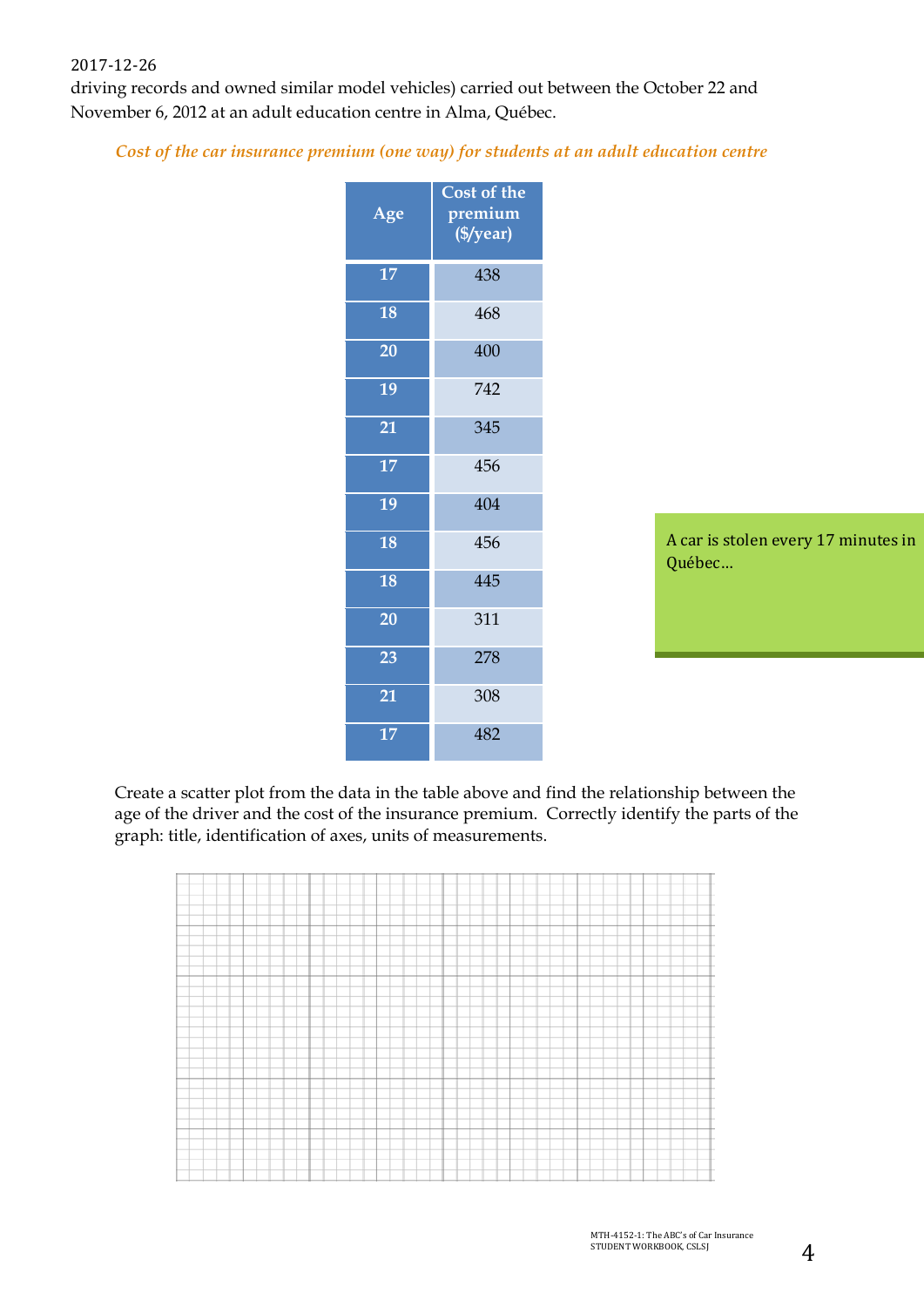#### 2017-12-26

driving records and owned similar model vehicles) carried out between the October 22 and November 6, 2012 at an adult education centre in Alma, Québec.

#### *Cost of the car insurance premium (one way) for students at an adult education centre*

| Age | Cost of the<br>premium<br>(\$/year) |
|-----|-------------------------------------|
| 17  | 438                                 |
| 18  | 468                                 |
| 20  | 400                                 |
| 19  | 742                                 |
| 21  | 345                                 |
| 17  | 456                                 |
| 19  | 404                                 |
| 18  | 456                                 |
| 18  | 445                                 |
| 20  | 311                                 |
| 23  | 278                                 |
| 21  | 308                                 |
| 17  | 482                                 |

A car is stolen every 17 minutes in Québec…

Create a scatter plot from the data in the table above and find the relationship between the age of the driver and the cost of the insurance premium. Correctly identify the parts of the graph: title, identification of axes, units of measurements.

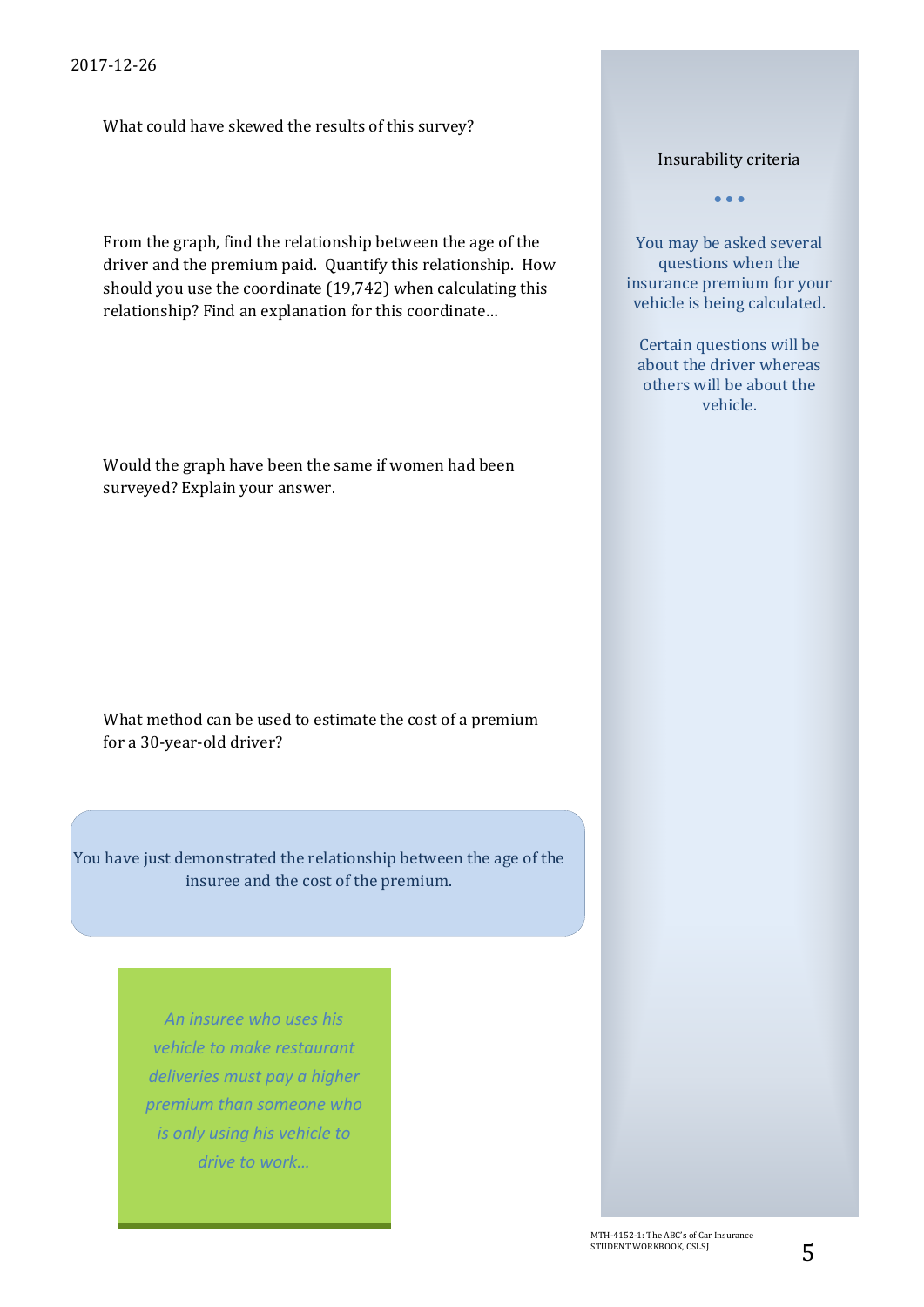What could have skewed the results of this survey?

From the graph, find the relationship between the age of the driver and the premium paid. Quantify this relationship. How should you use the coordinate (19,742) when calculating this relationship? Find an explanation for this coordinate…

Would the graph have been the same if women had been surveyed? Explain your answer.

What method can be used to estimate the cost of a premium for a 30-year-old driver?

You have just demonstrated the relationship between the age of the insuree and the cost of the premium.

> *An insuree who uses his vehicle to make restaurant deliveries must pay a higher premium than someone who is only using his vehicle to drive to work…*

Insurability criteria

• • •

You may be asked several questions when the insurance premium for your vehicle is being calculated.

Certain questions will be about the driver whereas others will be about the vehicle.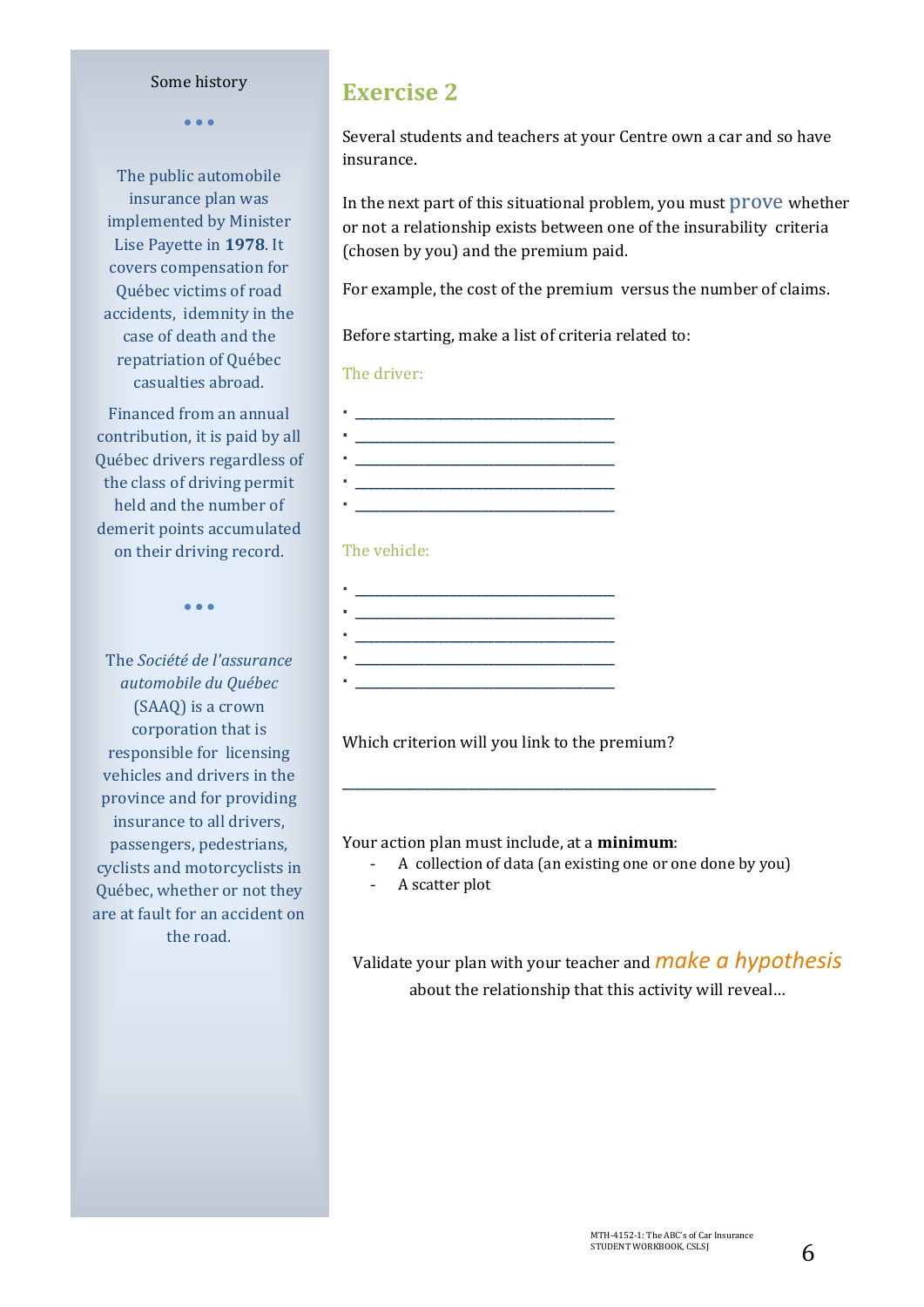#### 2017-12-26 Some history

• • •

The public automobile insurance plan was implemented by Minister Lise Payette in **1978**. It covers compensation for Québec victims of road accidents, idemnity in the case of death and the repatriation of Québec casualties abroad.

Financed from an annual contribution, it is paid by all Québec drivers regardless of the class of driving permit held and the number of demerit points accumulated on their driving record.

• • •

The *Société de l'assurance automobile du Québec*  (SAAQ) is a crown corporation that is responsible for licensing vehicles and drivers in the province and for providing insurance to all drivers, passengers, pedestrians, cyclists and motorcyclists in Québec, whether or not they are at fault for an accident on the road.

## **Exercise 2**

Several students and teachers at your Centre own a car and so have insurance.

In the next part of this situational problem, you must prove whether or not a relationship exists between one of the insurability criteria (chosen by you) and the premium paid.

For example, the cost of the premium versus the number of claims.

Before starting, make a list of criteria related to:

#### The driver:

 **\_\_\_\_\_\_\_\_\_\_\_\_\_\_\_\_\_\_\_\_\_\_\_\_\_\_\_\_\_\_\_\_\_\_\_\_\_\_\_\_\_ \_\_\_\_\_\_\_\_\_\_\_\_\_\_\_\_\_\_\_\_\_\_\_\_\_\_\_\_\_\_\_\_\_\_\_\_\_\_\_\_\_ \_\_\_\_\_\_\_\_\_\_\_\_\_\_\_\_\_\_\_\_\_\_\_\_\_\_\_\_\_\_\_\_\_\_\_\_\_\_\_\_\_ \_\_\_\_\_\_\_\_\_\_\_\_\_\_\_\_\_\_\_\_\_\_\_\_\_\_\_\_\_\_\_\_\_\_\_\_\_\_\_\_\_**

#### The vehicle:

 $\mathcal{L} = \{ \mathcal{L} \}$  **\_\_\_\_\_\_\_\_\_\_\_\_\_\_\_\_\_\_\_\_\_\_\_\_\_\_\_\_\_\_\_\_\_\_\_\_\_\_\_\_\_ \_\_\_\_\_\_\_\_\_\_\_\_\_\_\_\_\_\_\_\_\_\_\_\_\_\_\_\_\_\_\_\_\_\_\_\_\_\_\_\_\_ \_\_\_\_\_\_\_\_\_\_\_\_\_\_\_\_\_\_\_\_\_\_\_\_\_\_\_\_\_\_\_\_\_\_\_\_\_\_\_\_\_**

Which criterion will you link to the premium?

**\_\_\_\_\_\_\_\_\_\_\_\_\_\_\_\_\_\_\_\_\_\_\_\_\_\_\_\_\_\_\_\_\_\_\_\_\_\_\_\_\_\_\_\_\_\_\_\_\_\_\_\_\_\_\_\_\_\_\_**

Your action plan must include, at a **minimum**:

- A collection of data (an existing one or one done by you)

- A scatter plot

Validate your plan with your teacher and*make a hypothesis* about the relationship that this activity will reveal…